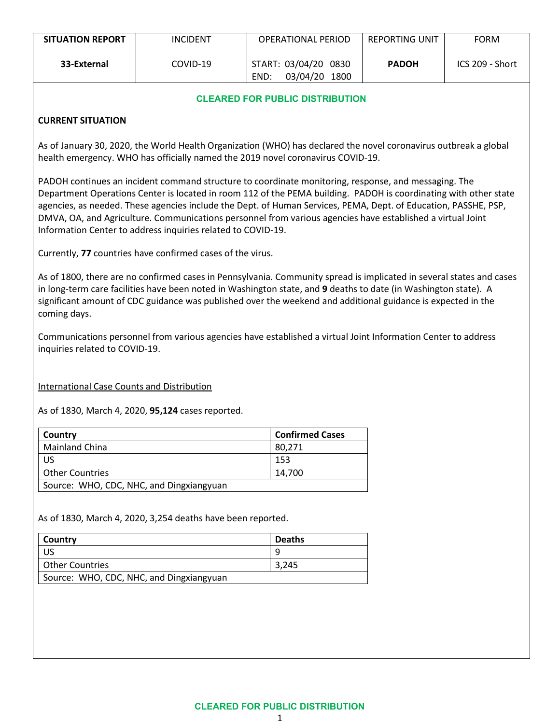| <b>SITUATION REPORT</b> | <b>INCIDENT</b> | OPERATIONAL PERIOD                            | <b>REPORTING UNIT</b> | <b>FORM</b>     |
|-------------------------|-----------------|-----------------------------------------------|-----------------------|-----------------|
| 33-External             | COVID-19        | START: 03/04/20 0830<br>03/04/20 1800<br>END: | <b>PADOH</b>          | ICS 209 - Short |

### **CLEARED FOR PUBLIC DISTRIBUTION**

## **CURRENT SITUATION**

As of January 30, 2020, the World Health Organization (WHO) has declared the novel coronavirus outbreak a global health emergency. WHO has officially named the 2019 novel coronavirus COVID-19.

PADOH continues an incident command structure to coordinate monitoring, response, and messaging. The Department Operations Center is located in room 112 of the PEMA building. PADOH is coordinating with other state agencies, as needed. These agencies include the Dept. of Human Services, PEMA, Dept. of Education, PASSHE, PSP, DMVA, OA, and Agriculture. Communications personnel from various agencies have established a virtual Joint Information Center to address inquiries related to COVID-19.

Currently, **77** countries have confirmed cases of the virus.

As of 1800, there are no confirmed cases in Pennsylvania. Community spread is implicated in several states and cases in long-term care facilities have been noted in Washington state, and **9** deaths to date (in Washington state).  A significant amount of CDC guidance was published over the weekend and additional guidance is expected in the coming days.

Communications personnel from various agencies have established a virtual Joint Information Center to address inquiries related to COVID-19.

International Case Counts and Distribution

As of 1830, March 4, 2020, **95,124** cases reported.

| Country                                  | <b>Confirmed Cases</b> |
|------------------------------------------|------------------------|
| <b>Mainland China</b>                    | 80.271                 |
| US                                       | 153                    |
| <b>Other Countries</b>                   | 14.700                 |
| Source: WHO, CDC, NHC, and Dingxiangyuan |                        |

As of 1830, March 4, 2020, 3,254 deaths have been reported.

| Country                                  | <b>Deaths</b> |  |
|------------------------------------------|---------------|--|
|                                          | q             |  |
| <b>Other Countries</b>                   | 3,245         |  |
| Source: WHO, CDC, NHC, and Dingxiangyuan |               |  |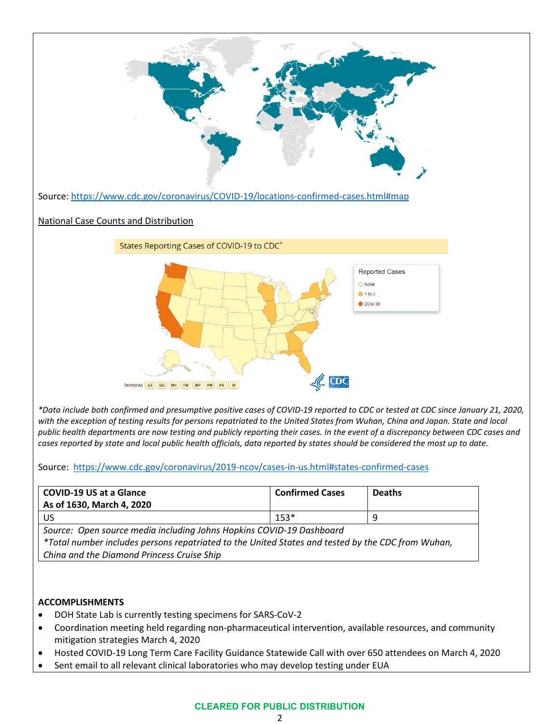

*with the exception of testing results for persons repatriated to the United States from Wuhan, China and Japan. State and local public health departments are now testing and publicly reporting their cases. In the event of a discrepancy between CDC cases and cases reported by state and local public health officials, data reported by states should be considered the most up to date.*

Source: <https://www.cdc.gov/coronavirus/2019-ncov/cases-in-us.html#states-confirmed-cases>

| COVID-19 US at a Glance<br>As of 1630, March 4, 2020 | <b>Confirmed Cases</b> | <b>Deaths</b> |
|------------------------------------------------------|------------------------|---------------|
| US.                                                  | $153*$                 |               |

*Source: Open source media including Johns Hopkins COVID-19 Dashboard \*Total number includes persons repatriated to the United States and tested by the CDC from Wuhan, China and the Diamond Princess Cruise Ship*

# **ACCOMPLISHMENTS**

- DOH State Lab is currently testing specimens for SARS-CoV-2
- Coordination meeting held regarding non-pharmaceutical intervention, available resources, and community mitigation strategies March 4, 2020
- Hosted COVID-19 Long Term Care Facility Guidance Statewide Call with over 650 attendees on March 4, 2020
- Sent email to all relevant clinical laboratories who may develop testing under EUA